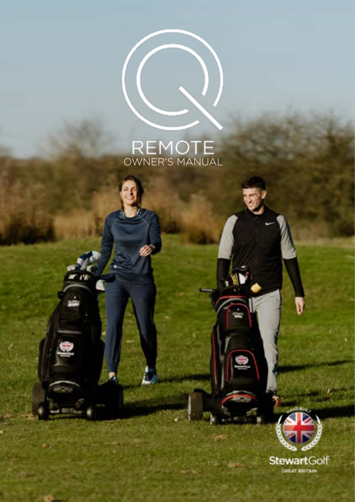# REMOTE<br>
OWNER'S MANUAL

 $\left( \left($ 

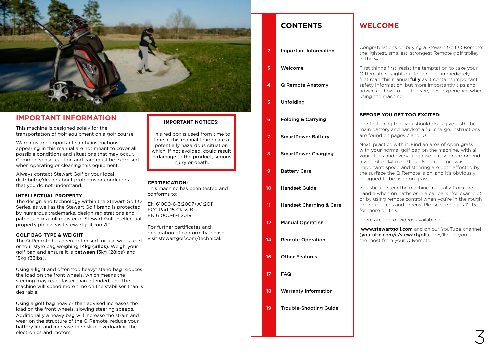

### **IMPORTANT INFORMATION**

This machine is designed solely for the transportation of golf equipment on a golf course.

Warnings and important safety instructions appearing in this manual are not meant to cover all possible conditions and situations that may occur. Common sense, caution and care must be exercised when operating or cleaning this equipment.

Always contact Stewart Golf or your local distributor/dealer about problems or conditions that you do not understand.

#### **INTELLECTUAL PROPERTY**

The design and technology within the Stewart Golf Q Series, as well as the Stewart Golf brand is protected by numerous trademarks, design registrations and patents. For a full register of Stewart Golf intellectual property please visit stewartgolf.com/IP.

#### **GOLF BAG TYPE & WEIGHT**

The Q Remote has been optimised for use with a cart or tour style bag weighing 14kg (31lbs). Weigh your golf bag and ensure it is between 13kg (28lbs) and 15kg (33lbs).

Using a light and often 'top heavy' stand bag reduces the load on the front wheels, which means the steering may react faster than intended, and the machine will spend more time on the stabiliser than is desirable.

electronics and motors. Using a golf bag heavier than advised increases the load on the front wheels, slowing steering speeds. Additionally a heavy bag will increase the strain and wear on the structure of the Q Remote, reduce your battery life and increase the risk of overloading the electronics and motors.

#### **IMPORTANT NOTICES:**

This red box is used from time to time in this manual to indicate a potentially hazardous situation which, if not avoided, could result in damage to the product, serious injury or death.

#### **CERTIFICATION:**

This machine has been tested and conforms to:

EN 61000-6-3:2007+A1:2011 FCC Part 15 Class B EN 61000-6-1:2019

For further certificates and declaration of conformity please visit stewartgolf.com/technical.

| <b>CONTENTS</b> |
|-----------------|
|-----------------|

- Important Information 2
- Welcome 3
- Q Remote Anatomy 4
- Unfolding 5
- Folding & Carrying 6
- SmartPower Battery 7
- SmartPower Charging 8
- Battery Care 9
- Handset Guide 10
- 
- Handset Charging & Care 11
- Manual Operation 12
- Remote Operation 14
- Other Features 16
- FAQ 17
- Warranty Information 18
- Trouble-Shooting Guide 19

## **WELCOME**

Congratulations on buying a Stewart Golf Q Remote: the lightest, smallest, strongest Remote golf trolley in the world.

First things first: resist the temptation to take your Q Remote straight out for a round immediately – first read this manual **fully** as it contains important safety information, but more importantly tips and advice on how to get the very best experience when using the machine.

#### **BEFORE YOU GET TOO EXCITED:**

The first thing that you should do is give both the main battery and handset a full charge, instructions are found on pages 7 and 10.

Next, practice with it. Find an area of open grass with your normal golf bag on the machine, with all your clubs and everything else in it: we recommend a weight of 14kg or 31lbs. Using it on grass is important: speed and steering are both affected by the surface the Q Remote is on, and it's obviously designed to be used on grass.

You should steer the machine manually from the handle when on paths or in a car park (for example), or by using remote control when you're in the rough or around tees and greens. Please see pages 12-15 for more on this.

There are lots of videos available at:

www.stewartgolf.com and on our YouTube channel (youtube.com/c/stewartgolf): they'll help you get the most from your Q Remote.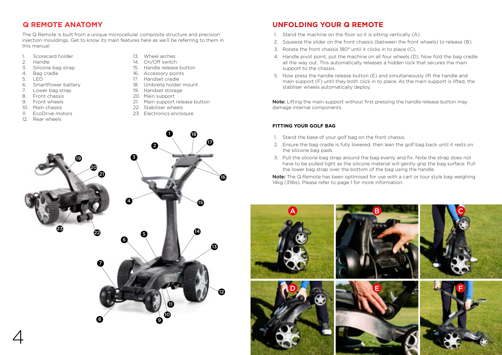# **Q REMOTE ANATOMY**

The Q Remote is built from a unique microcellular composite structure and precision injection mouldings. Get to know its main features here as we'll be referring to them in this manual:

- 1. Scorecard holder<br>2. Handle
- 2. Handle<br>3. Silicone
- Silicone bag strap
- 4. Bag cradle
- 5. LED
- 6. SmartPower battery
- 7. Lower bag strap
- 8. Front chassis
- 9. Front wheels
- 10. Main chassis
- 11. EcoDrive motors

19

23

20 21

12. Rear wheels

- 13. Wheel arches
- 14. On/Off switch
- 15. Handle release button
- 16. Accessory points
- 17. Handset cradle
- 18. Umbrella holder mount
- 19. Handset storage
- 20. Main support
- 21. Main support release button

1

10 11 12

13

16

17

18

14

15

22. Stabiliser wheels

 $\boldsymbol{\varrho}$ 

3

4

6

8 9

7

22

5

23. Electronics enclosure

# 1. Stand the machine on the floor so it is sitting vertically (A).

- 2. Squeeze the slider on the front chassis (between the front wheels) to release (B).
- 3. Rotate the front chassis 180° until it clicks in to place (C).

**UNFOLDING YOUR Q REMOTE**

- 4. Handle pivot point, put the machine on all four wheels (D). Now fold the bag cradle all the way out. This automatically releases a hidden lock that secures the main support to the chassis.
- 5. Now press the handle release button (E) and simultaneously lift the handle and main support (F) until they both click in to place. As the main support is lifted, the stabliser wheels automatically deploy.

Note: Lifting the main support without first pressing the handle release button may damage internal components.

#### **FITTING YOUR GOLF BAG**

- 1. Stand the base of your golf bag on the front chassis.
- 2. Ensure the bag cradle is fully lowered, then lean the golf bag back until it rests on the silicone bag pads.
- 3. Pull the silcone bag strap around the bag evenly and fix. Note the strap does not have to be pulled tight as the silicone material will gently grip the bag surface. Pull the lower bag strap over the bottom of the bag using the handle.

Note: The Q Remote has been optimised for use with a cart or tour style bag weighing 14kg (31lbs). Please refer to page 1 for more information.

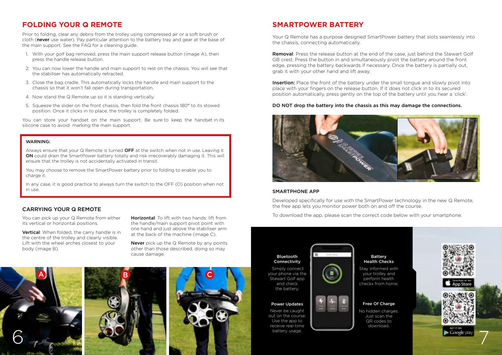# **FOLDING YOUR Q REMOTE**

Prior to folding, clear any debris from the trolley using compressed air or a soft brush or cloth (never use water). Pay particular attention to the battery tray and gear at the base of the main support. See the FAQ for a cleaning guide.

- 1. With your golf bag removed, press the main support release button (image A), then press the handle release button.
- 2. You can now lower the handle and main support to rest on the chassis. You will see that the stabiliser has automatically retracted.
- 3. Close the bag cradle. This automatically locks the handle and main support to the chassis so that it won't fall open during transportation.
- 4. Now stand the Q Remote up so it is standing vertically.
- 5. Squeeze the slider on the front chassis, then fold the front chassis 180° to its stowed position. Once it clicks in to place, the trolley is completely folded.

You can store your handset on the main support. Be sure to keep the handset in its silicone case to avoid marking the main support.

#### WADNING:

Always ensure that your Q Remote is turned OFF at the switch when not in use. Leaving it ON could drain the SmartPower battery totally and risk irrecoverably damaging it. This will ensure that the trolley is not accidentally activated in transit.

You may choose to remove the SmartPower battery prior to folding to enable you to charge it.

In any case, it is good practice to always turn the switch to the OFF (O) position when not in use.

#### CARRYING YOUR Q REMOTE

You can pick up your Q Remote from either its vertical or horizontal positions.

Vertical: When folded, the carry handle is in the centre of the trolley and clearly visible. Lift with the wheel arches closest to your body (image B).

Horizontal: To lift with two hands: lift from the handle/main support pivot point with one hand and just above the stabiliser arm at the back of the machine (image C).

**Never** pick up the Q Remote by any points other than those described, doing so may cause damage.



# **SMARTPOWER BATTERY**

Your Q Remote has a purpose designed SmartPower battery that slots seamlessly into the chassis, connecting automatically.

Removal: Press the release button at the end of the case, just behind the Stewart Golf GB crest. Press the button in and simultaneously pivot the battery around the front edge, pressing the battery backwards if necessary. Once the battery is partially out, grab it with your other hand and lift away.

**Insertion:** Place the front of the battery under the small tongue and slowly pivot into place with your fingers on the release button. If it does not click in to its secured position automatically, press gently on the top of the battery until you hear a 'click'.

#### DO NOT drop the battery into the chassis as this may damage the connections.



#### SMARTPHONE APP

Developed specifically for use with the SmartPower technology in the new Q Remote, the free app lets you monitor power both on and off the course.

To download the app, please scan the correct code below with your smartphone.



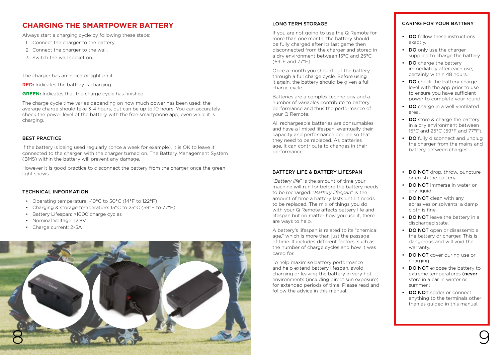# **CHARGING THE SMARTPOWER BATTERY**

Always start a charging cycle by following these steps:

- 1. Connect the charger to the battery.
- 2. Connect the charger to the wall.
- 3. Switch the wall socket on.

The charger has an indicator light on it:

RED**:** Indicates the battery is charging.

**GREEN:** Indicates that the charge cycle has finished.

The charge cycle time varies depending on how much power has been used: the average charge should take 3-4 hours, but can be up to 10 hours. You can accurately check the power level of the battery with the free smartphone app, even while it is charging.

#### BEST PRACTICE

If the battery is being used regularly (once a week for example), it is OK to leave it connected to the charger, with the charger turned on. The Battery Management System (BMS) within the battery will prevent any damage.

However it is good practice to disconnect the battery from the charger once the green light shows.

#### TECHNICAL INFORMATION

- Operating temperature: -10°C to 50°C (14°F to 122°F)
- Charging & storage temperature: 15°C to 25°C (59°F to 77°F)
- Battery Lifespan: >1000 charge cycles
- Nominal Voltage: 12.8V
- Charge current: 2~5A



#### LONG TERM STORAGE

If you are not going to use the Q Remote for more than one month, the battery should be fully charged after its last game then disconnected from the charger and stored in a dry environment between 15°C and 25°C (59°F and 77°F).

Once a month you should put the battery through a full charge cycle. Before using it again, the battery should be given a full charge cycle.

Batteries are a complex technology and a number of variables contribute to battery performance and thus the performance of your Q Remote.

All rechargeable batteries are consumables and have a limited lifespan: eventually their capacity and performance decline so that they need to be replaced. As batteries age, it can contribute to changes in their performance.

#### BATTERY LIFE & BATTERY LIFESPAN

"*Battery life*" is the amount of time your machine will run for before the battery needs to be recharged. "*Battery lifespan*" is the amount of time a battery lasts until it needs to be replaced. The mix of things you do with your Q Remote affects battery life and lifespan but no matter how you use it, there are ways to help.

A battery's lifespan is related to its "chemical age," which is more than just the passage of time. It includes different factors, such as the number of charge cycles and how it was cared for.

To help maximise battery performance and help extend battery lifespan, avoid charging or leaving the battery in very hot environments (including direct sun exposure) for extended periods of time. Please read and follow the advice in this manual.

#### CARING FOR YOUR BATTERY

- DO follow these instructions exactly.
- DO only use the charger supplied to charge the battery.
- DO charge the battery immediately after each use, certainly within 48 hours.
- **DO** check the battery charge level with the app prior to use to ensure you have sufficient power to complete your round.
- DO charge in a well ventilated area.
- **DO** store & charge the battery in a dry environment between 15°C and 25°C (59°F and 77°F).
- **DO** fully disconnect and unplug the charger from the mains and battery between charges.
- DO NOT drop, throw, puncture or crush the battery.
- **DO NOT** immerse in water or any liquid.
- DO NOT clean with any abrasives or solvents; a damp cloth is fine.
- DO NOT leave the battery in a discharged state.
- DO NOT open or disassemble the battery or charger. This is dangerous and will void the warranty.
- **DO NOT** cover during use or charging.
- **DO NOT** expose the battery to extreme temperatures (never store in a car in winter or summer.)
- **DO NOT** solder or connect anything to the terminals other than as guided in this manual.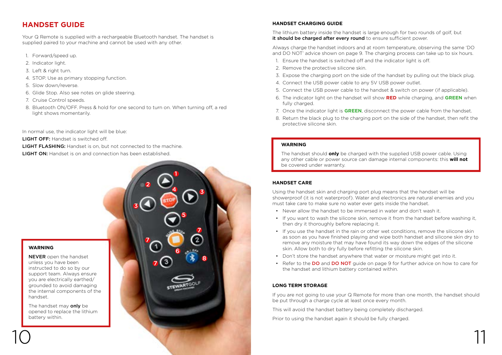# **HANDSET GUIDE**

Your Q Remote is supplied with a rechargeable Bluetooth handset. The handset is supplied paired to your machine and cannot be used with any other.

- 1. Forward/speed up.
- 2. Indicator light.
- 3. Left & right turn.
- 4. STOP. Use as primary stopping function.
- 5. Slow down/reverse.
- 6. Glide Stop. Also see notes on glide steering.
- 7. Cruise Control speeds.
- 8. Bluetooth ON/OFF. Press & hold for one second to turn on. When turning off, a red light shows momentarily.

1

 $4 \circ 3$ 

5

7

8

6

2

7

7

3

In normal use, the indicator light will be blue:

- **LIGHT OFF:** Handset is switched off.
- LIGHT FLASHING: Handset is on, but not connected to the machine.
- LIGHT ON: Handset is on and connection has been established.

#### **WARNING**

NEVER open the handset unless you have been instructed to do so by our support team. Always ensure you are electrically earthed/ grounded to avoid damaging the internal components of the handset.

The handset may only be opened to replace the lithium battery within.

#### **HANDSET CHARGING GUIDE**

The lithium battery inside the handset is large enough for two rounds of golf, but it should be charged after every round to ensure sufficient power.

Always charge the handset indoors and at room temperature, observing the same 'DO and DO NOT' advice shown on page 9. The charging process can take up to six hours.

- 1. Ensure the handset is switched off and the indicator light is off.
- 2. Remove the protective silicone skin.
- 3. Expose the charging port on the side of the handset by pulling out the black plug.
- 4. Connect the USB power cable to any 5V USB power outlet.
- 5. Connect the USB power cable to the handset & switch on power (if applicable).
- 6. The indicator light on the handset will show **RED** while charging, and **GREEN** when fully charged.
- 7. Once the indicator light is **GREEN**, disconnect the power cable from the handset.
- 8. Return the black plug to the charging port on the side of the handset, then refit the protective silicone skin.

#### **WARNING**

The handset should **only** be charged with the supplied USB power cable. Using any other cable or power source can damage internal components: this **will not** be covered under warranty.

#### **HANDSET CARE**

Using the handset skin and charging port plug means that the handset will be showerproof (it is not waterproof). Water and electronics are natural enemies and you must take care to make sure no water ever gets inside the handset.

- Never allow the handset to be immersed in water and don't wash it.
- If you want to wash the silicone skin, remove it from the handset before washing it, then dry it thoroughly before replacing it.
- If you use the handset in the rain or other wet conditions, remove the silicone skin as soon as you have finished playing and wipe both handset and silicone skin dry to remove any moisture that may have found its way down the edges of the silicone skin. Allow both to dry fully before refitting the silicone skin.
- Don't store the handset anywhere that water or moisture might get into it.
- Refer to the DO and DO NOT guide on page 9 for further advice on how to care for the handset and lithium battery contained within.

#### **LONG TERM STORAGE**

If you are not going to use your Q Remote for more than one month, the handset should be put through a charge cycle at least once every month.

This will avoid the handset battery being completely discharged.

Prior to using the handset again it should be fully charged.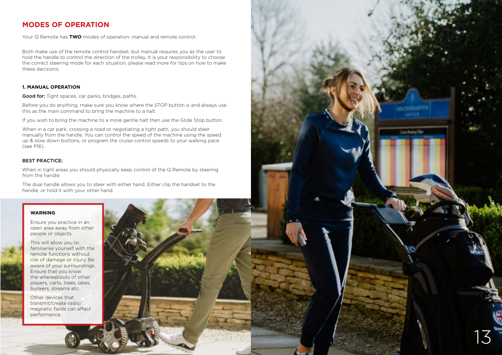# **MODES OF OPERATION**

Your Q Remote has **TWO** modes of operation: manual and remote control.

Both make use of the remote control handset, but manual requires you as the user to hold the handle to control the direction of the trolley. It is your responsibility to choose the correct steering mode for each situation, please read more for tips on how to make these decisions.

#### **1. MANUAL OPERATION**

Good for: Tight spaces, car parks, bridges, paths.

Before you do anything, make sure you know where the STOP button is and always use this as the main command to bring the machine to a halt.

If you wish to bring the machine to a more gentle halt then use the Glide Stop button.

When in a car park, crossing a road or negotiating a tight path, you should steer manually from the handle. You can control the speed of the machine using the speed up & slow down buttons, or program the cruise control speeds to your walking pace (see P16).

#### BEST PRACTICE:

When in tight areas you should physically keep control of the Q Remote by steering from the handle.

The dual handle allows you to steer with either hand. Either clip the handset to the handle, or hold it with your other hand.

13

#### **WARNING**

11

Ensure you practice in an open area away from other people or objects.

This will allow you to familiarise yourself with the remote functions without risk of damage or injury. Be aware of your surroundings. Ensure that you know the whereabouts of other players, carts, trees, lakes, bunkers, streams etc.

Other devices that transmit/create radio/ magnetic fields can affect performance.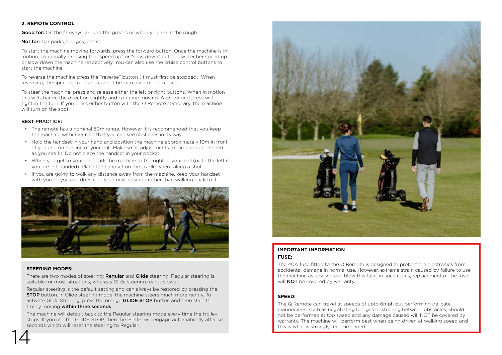#### **2. REMOTE CONTROL**

Good for: On the fairways, around the greens or when you are in the rough.

Not for: Car parks, bridges, paths.

To start the machine moving forwards, press the forward button. Once the machine is in motion, continually pressing the "speed up" or "slow down" buttons will either speed up or slow down the machine respectively. You can also use the cruise control buttons to start the machine.

To reverse the machine press the "reverse" button (it must first be stopped). When reversing, the speed is fixed and cannot be increased or decreased.

To steer the machine, press and release either the left or right buttons. When in motion this will change the direction slightly and continue moving. A prolonged press will tighten the turn. If you press either button with the Q Remote stationary, the machine will turn on the spot.

#### BEST PRACTICE**:**

- The remote has a nominal 50m range. However it is recommended that you keep the machine within 25m so that you can see obstacles in its way.
- Hold the handset in your hand and position the machine approximately 10m in front of you and on the line of your ball. Make small adjustments to direction and speed as you see fit. Do not place the handset in your pocket.
- When you get to your ball, park the machine to the right of your ball (or to the left if you are left handed). Place the handset on the cradle when taking a shot.
- If you are going to walk any distance away from the machine, keep your handset with you so you can drive it to your next position rather than walking back to it.



#### **STEERING MODES:**

There are two modes of steering: Regular and Glide steering. Regular steering is suitable for most situations, whereas Glide steering reacts slower.

Regular steering is the default setting and can always be restored by pressing the STOP button. In Glide steering mode, the machine steers much more gently. To activate Glide Steering, press the orange **GLIDE STOP** button and then start the trolley moving within three seconds.

14 The machine will default back to the Regular steering mode every time the trolley stops. If you use the GLIDE STOP, then the 'STOP' will engage automatically after six seconds which will reset the steering to Regular.



#### **IMPORTANT INFORMATION FUSE:**

The 40A fuse fitted to the Q Remote is designed to protect the electronics from accidental damage in normal use. However, extreme strain caused by failure to use the machine as advised can blow this fuse: in such cases, replacement of the fuse will **NOT** be covered by warranty.

#### **SPEED:**

The Q Remote can travel at speeds of upto 6mph but performing delicate manoeuvres, such as negotiating bridges or steering between obstacles, should not be performed at top speed and any damage caused will NOT be covered by warranty. The machine will perform best when being driven at walking speed and this is what is strongly recommended.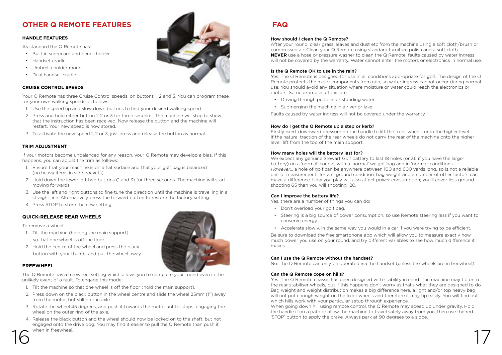# **OTHER Q REMOTE FEATURES**

#### **HANDLE FEATURES**

As standard the Q Remote has:

- Built in scorecard and pencil holder.
- Handset cradle.
- Umbrella holder mount.
- Dual handset cradle.

#### **CRUISE CONTROL SPEEDS**

Your Q Remote has three Cruise Control speeds, on buttons 1, 2 and 3. You can program these for your own walking speeds as follows:

- 1. Use the speed up and slow down buttons to find your desired walking speed.
- 2. Press and hold either button 1, 2 or 3 for three seconds. The machine will stop to show that the instruction has been received. Now release the button and the machine will restart. Your new speed is now stored.
- 3. To activate the new speed 1, 2 or 3, just press and release the button as normal.

#### **TRIM ADJUSTMENT**

If your motors become unbalanced for any reason, your Q Remote may develop a bias. If this happens, you can adjust the trim as follows:

- 1. Ensure that your machine is on a flat surface and that your golf bag is balanced (no heavy items in side pockets).
- 2. Hold down the lower left two buttons (1 and 3) for three seconds. The machine will start moving forwards.
- 3. Use the left and right buttons to fine tune the direction until the machine is travelling in a straight line. Alternatively press the forward button to restore the factory setting.
- 4. Press STOP to store the new setting.

#### **QUICK-RELEASE REAR WHEELS**

To remove a wheel:

- 1. Tilt the machine (holding the main support) so that one wheel is off the floor.
- 2. Hold the centre of the wheel and press the black button with your thumb, and pull the wheel away.

#### **FREEWHEEL**

The Q Remote has a freewheel setting which allows you to complete your round even in the unlikely event of a fault. To engage this mode:

- 1. Tilt the machine so that one wheel is off the floor (hold the main support).
- 2. Press down on the black button in the wheel centre and slide the wheel 25mm (1") away from the motor, but still on the axle.
- 3. Rotate the wheel 45 degrees, and push it towards the motor until it stops, engaging the wheel on the outer ring of the axle.
- $16$  when in freewheel. 4. Release the black button and the wheel should now be locked on to the shaft, but not engaged onto the drive dog. You may find it easier to pull the Q Remote than push it when in freewheel.



# **FAQ**

#### How should I clean the Q Remote?

After your round, clear grass, leaves and dust etc from the machine using a soft cloth/brush or compressed air. Clean your Q Remote using standard furniture polish and a soft cloth. **NEVER** use a hose or pressure washer to clean the Q Remote: faults caused by water ingress will not be covered by the warranty. Water cannot enter the motors or electronics in normal use.

#### Is the Q Remote OK to use in the rain?

Yes. The Q Remote is designed for use in all conditions appropriate for golf. The design of the Q Remote protects the major components from rain, so water ingress cannot occur during normal use. You should avoid any situation where moisture or water could reach the electronics or motors. Some examples of this are:

- Driving through puddles or standing water.
- Submerging the machine in a river or lake.

Faults caused by water ingress will not be covered under the warranty.

#### How do I get the Q Remote up a step or kerb?

Firstly exert downward pressure on the handle to lift the front wheels onto the higher level. If the natural traction of the rear wheels do not carry the rear of the machine onto the higher level, lift from the top of the main support.

#### How many holes will the battery last for?

We expect any genuine Stewart Golf battery to last 18 holes (or 36 if you have the larger battery) on a 'normal' course, with a 'normal' weight bag and in 'normal' conditions. However... a hole of golf can be anywhere between 100 and 600 yards long, so is not a reliable unit of measurement. Terrain, ground condition, bag weight and a number of other factors can make a difference. How you play will also affect power consumption; you'll cover less ground shooting 65 than you will shooting 120.

#### Can I improve the battery life?

Yes, there are a number of things you can do:

- Don't overload your golf bag.
- Steering is a big source of power consumption, so use Remote steering less if you want to conserve energy.
- Accelerate slowly, in the same way you would in a car if you were trying to be efficient.

Be sure to download the free smartphone app which will allow you to measure exactly how much power you use on your round, and try different variables to see how much difference it makes.

#### Can I use the Q Remote without the handset?

No. The Q Remote can only be operated via the handset (unless the wheels are in freewheel).

#### Can the Q Remote cope on hills?

Yes. The Q Remote chassis has been designed with stability in mind. The machine may tip onto the rear stabiliser wheels, but if this happens don't worry as that's what they are designed to do. Bag weight and weight distribution makes a big difference here, a light and/or top heavy bag will not put enough weight on the front wheels and therefore it may tip easily. You will find out which hills work with your particular setup through experience.

When going down hill using remote control, the Q Remote may speed up under gravity. Hold the handle if on a path or allow the machine to travel safely away from you, then use the red 'STOP' button to apply the brake. Always park at 90 degrees to a slope.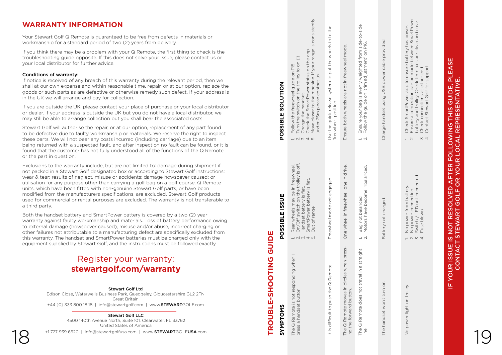# **WARRANTY INFORMATION**

#### Conditions of warranty:

# Register your warranty: **stewartgolf.com/warranty**

#### Stewart Golf LLC

| <b>WARRANTY INFORMATION</b><br>Your Stewart Golf Q Remote is guaranteed to be free from defects in materials or<br>workmanship for a standard period of two (2) years from delivery.                                                                                                                                                                                                                                                                                                                                                                                                                                                                  |                                | onsistently<br>$\overline{a}$                                                                                                                                                                                                                                                                                                     | the<br>$\mathcal{O}$              |                                                                           |                                              | i side-to-side.<br>P16.                                                        |                          | e battery has power.<br>e between SmartPower<br>als are clean and clear.                                                                                                                                                                                                                      |                                                                                                                     |  |
|-------------------------------------------------------------------------------------------------------------------------------------------------------------------------------------------------------------------------------------------------------------------------------------------------------------------------------------------------------------------------------------------------------------------------------------------------------------------------------------------------------------------------------------------------------------------------------------------------------------------------------------------------------|--------------------------------|-----------------------------------------------------------------------------------------------------------------------------------------------------------------------------------------------------------------------------------------------------------------------------------------------------------------------------------|-----------------------------------|---------------------------------------------------------------------------|----------------------------------------------|--------------------------------------------------------------------------------|--------------------------|-----------------------------------------------------------------------------------------------------------------------------------------------------------------------------------------------------------------------------------------------------------------------------------------------|---------------------------------------------------------------------------------------------------------------------|--|
| If you think there may be a problem with your Q Remote, the first thing to check is the<br>troubleshooting guide opposite. If this does not solve your issue, please contact us or<br>your local distributor for further advice.                                                                                                                                                                                                                                                                                                                                                                                                                      |                                | range<br>on the app.<br>on $($ )<br>your l<br>PI5.<br>$\circ$                                                                                                                                                                                                                                                                     |                                   |                                                                           | mode.<br>freewheel                           | weighted from<br>adjustment' on                                                | power cable provided     | terminals a<br>er end.                                                                                                                                                                                                                                                                        | ш<br>$\overline{5}$                                                                                                 |  |
| Conditions of warranty:<br>If notice is received of any breach of this warranty during the relevant period, then we<br>shall at our own expense and within reasonable time, repair, or at our option, replace the<br>goods or such parts as are defective or otherwise remedy such defect. If your address is<br>in the UK we will arrange and pay for collection.                                                                                                                                                                                                                                                                                    | <b>NOILDIOS</b>                | $\mathbf{S}$<br>status<br>hine If<br>guide or<br>e trolley<br>$\stackrel{\oplus}{\subseteq}$<br>동<br>SmartPower<br>the<br>ma<br>freewheel<br>set.<br>the<br>5                                                                                                                                                                     | $\overline{5}$<br>contact         | Use the quick release system to put the wheels in<br>freewheel' position. | not in<br>are                                | is evenly<br>v lineve si                                                       |                          | k SmartPower app to ensure b<br>e a connection can be made b<br>ry and trolley. Check terminals<br>k connections at either end.<br>support.<br>Check SmartPower app to<br>Ensure a connection can b<br>battery and trolley. Check<br>Check connections at eithe<br>Contact Stewart Golf for s | ш<br>ᇍᇤ<br><b>THIS GUIDE, F<br/>PRESENTATIVE</b>                                                                    |  |
| If you are outside the UK, please contact your place of purchase or your local distributor<br>or dealer. If your address is outside the UK but you do not have a local distributor, we<br>may still be able to arrange collection but you shall bear the associated costs.                                                                                                                                                                                                                                                                                                                                                                            |                                | hand<br><u>۽</u><br>$\overline{\mathrm{C}}$<br>swit<br>the<br>the                                                                                                                                                                                                                                                                 | please<br>closer<br>- 25m p       |                                                                           | wheels<br>both :                             | your bag is                                                                    | Charge handset using USB |                                                                                                                                                                                                                                                                                               | $\mathbf{a}$                                                                                                        |  |
| Stewart Golf will authorise the repair, or at our option, replacement of any part found<br>to be defective due to faulty workmanship or materials. We reserve the right to inspect<br>these parts. We will not bear any costs incurred (including carriage) due to an item<br>being returned with a suspected fault, and after inspection no fault can be found, or it is<br>found that the customer has not fully understood all of the functions of the Q Remote<br>or the part in question.                                                                                                                                                        | POSSIBLE                       | Follow the<br>Turn the sw<br>Charge the<br>Check the !<br>Move close<br>$ \alpha \approx 4$ m                                                                                                                                                                                                                                     | under                             |                                                                           | Ensure                                       | Ensure<br>Follow t<br>$\overline{\phantom{a}}$ $\sim$ $\overline{\phantom{a}}$ |                          | $M \times$<br>$\overline{\phantom{0}}$ $\overline{\phantom{0}}$                                                                                                                                                                                                                               | <b>FOLLOWING<br/>IR LOCAL REPI</b>                                                                                  |  |
| Exclusions to the warranty include, but are not limited to: damage during shipment if<br>not packed in a Stewart Golf designated box or according to Stewart Golf instructions;<br>wear & tear; results of neglect, misuse or accidents; damage howsoever caused; or<br>utilisation for any purpose other than carrying a golf bag on a golf course. Q Remote<br>units, which have been fitted with non-genuine Stewart Golf parts, or have been<br>modified from the manufacturers specifications, are excluded. Stewart Golf products<br>used for commercial or rental purposes are excluded. The warranty is not transferable to<br>a third party. | ISSUE                          | in freewheel.<br>e trolley is off.<br>is flat.<br>flat.<br>may be in<br>ch on the t<br>battery<br>$\underline{\omega}$                                                                                                                                                                                                            | Freewheel mode not engaged        |                                                                           | in drive.<br>one<br>freewheel,               | Bag not balanced.<br>Motors have become inbalanced                             |                          | No power from battery.<br>No power connection.<br>Switch / LED not connected.<br>Fuse blown.                                                                                                                                                                                                  | E<br>$\overline{5}$<br>$\overline{4}$<br><b>R</b><br>$\overline{\mathsf{o}}$<br><b>OLVED</b><br>$\overline{O}$<br>ပ |  |
| Both the handset battery and SmartPower battery is covered by a two (2) year<br>warranty against faulty workmanship and materials. Loss of battery performance owing<br>to external damage (howsoever caused), misuse and/or abuse, incorrect charging or<br>other failures not attributable to a manufacturing defect are specifically excluded from<br>this warranty. The handset and SmartPower batteries must be charged only with the<br>equipment supplied by Stewart Golf, and the instructions must be followed exactly.                                                                                                                      | SIBLE<br>w<br>O<br>GUIDE<br>Ő. | Rear wheels may<br>On/Off switch on<br>Handset battery i<br>SmartPower batter<br>Out of range.<br>$\overline{\phantom{m}}\hspace{0.1cm} \overline{\phantom{m}}\hspace{0.1cm} \overline{\phantom{m}}\hspace{0.1cm} \overline{\phantom{m}}\hspace{0.1cm} \overline{\phantom{m}}\hspace{0.1cm} \overline{\phantom{m}}\hspace{0.1cm}$ |                                   |                                                                           | $\mathbf{u}$<br>wheel<br>One                 | $\rightleftharpoons$ $\sim$                                                    | Battery not charged.     | $ \alpha$ $\omega$ $4$                                                                                                                                                                                                                                                                        | <b>RES</b><br>ĬΥ<br>⋖<br>NOT<br>TEW,<br>S<br>$\overline{\omega}$                                                    |  |
| Register your warranty:                                                                                                                                                                                                                                                                                                                                                                                                                                                                                                                                                                                                                               |                                | when                                                                                                                                                                                                                                                                                                                              |                                   |                                                                           | press-                                       | straight                                                                       |                          |                                                                                                                                                                                                                                                                                               | шΰ<br>ū<br>◀<br>$\overline{S}$                                                                                      |  |
| stewartgolf.com/warranty                                                                                                                                                                                                                                                                                                                                                                                                                                                                                                                                                                                                                              | OTING<br>O                     | ponding                                                                                                                                                                                                                                                                                                                           | Remote.<br>♂                      |                                                                           | when<br>circles                              | $\boldsymbol{\sigma}$<br>$\mathrel{\supseteq}$<br>travel                       |                          |                                                                                                                                                                                                                                                                                               | <b>YOUR IS</b>                                                                                                      |  |
| <b>Stewart Golf Ltd</b><br>Edison Close, Waterwells Business Park, Quedgeley, Gloucestershire GL2 2FN<br>Great Britain                                                                                                                                                                                                                                                                                                                                                                                                                                                                                                                                | この<br>ш                        | res<br>button<br>$\vec{o}$<br>$\subset$                                                                                                                                                                                                                                                                                           | to push the                       |                                                                           | button.<br>$\circ$                           | does not                                                                       | $\infty$<br>turn         | trolley<br>$\mathop{\mathsf{SO}}\nolimits$                                                                                                                                                                                                                                                    | 뜨                                                                                                                   |  |
| +44 (0) 333 800 18 18   info@stewartgolf.com   www.STEWARTGOLF.com<br><b>Stewart Golf LLC</b>                                                                                                                                                                                                                                                                                                                                                                                                                                                                                                                                                         | <b>TROUBL</b><br>SYMPTOMS      | a Remote is i<br>a handset b                                                                                                                                                                                                                                                                                                      |                                   |                                                                           | puew.<br>for <sup>-</sup>                    | Remote                                                                         | won't                    | power light                                                                                                                                                                                                                                                                                   |                                                                                                                     |  |
| 4500 140th Avenue North, Suite 101, Clearwater, FL 33762<br>United States of America<br>+1 727 939 6520   info@stewartgolfusa.com   www.STEWARTGOLFUSA.com                                                                                                                                                                                                                                                                                                                                                                                                                                                                                            |                                | $\circlearrowleft$<br>The Q<br>press                                                                                                                                                                                                                                                                                              | difficult<br>$\underline{\omega}$ |                                                                           | $\alpha$<br>the<br>$\circlearrowleft$<br>The | $_{\circlearrowleft}$<br>The<br>line.                                          | handset<br>The           |                                                                                                                                                                                                                                                                                               |                                                                                                                     |  |
|                                                                                                                                                                                                                                                                                                                                                                                                                                                                                                                                                                                                                                                       |                                |                                                                                                                                                                                                                                                                                                                                   |                                   |                                                                           | $\overline{a}$                               |                                                                                |                          | $\frac{\circ}{2}$                                                                                                                                                                                                                                                                             |                                                                                                                     |  |

# IF YOUR ISSUE IS NOT RESOLVED AFTER FOLLOWING THIS GUIDE, PLEASE YOUR ISSUE IS NOT RESOLVED AFTER FOLLOWING THIS GUIDE, PLEASE<br>CONTACT STEWART GOLF OR YOUR LOCAL REPRESENTATIVE. CONTACT STEWART GOLF OR YOUR LOCAL REPRESENTATIVE. 世